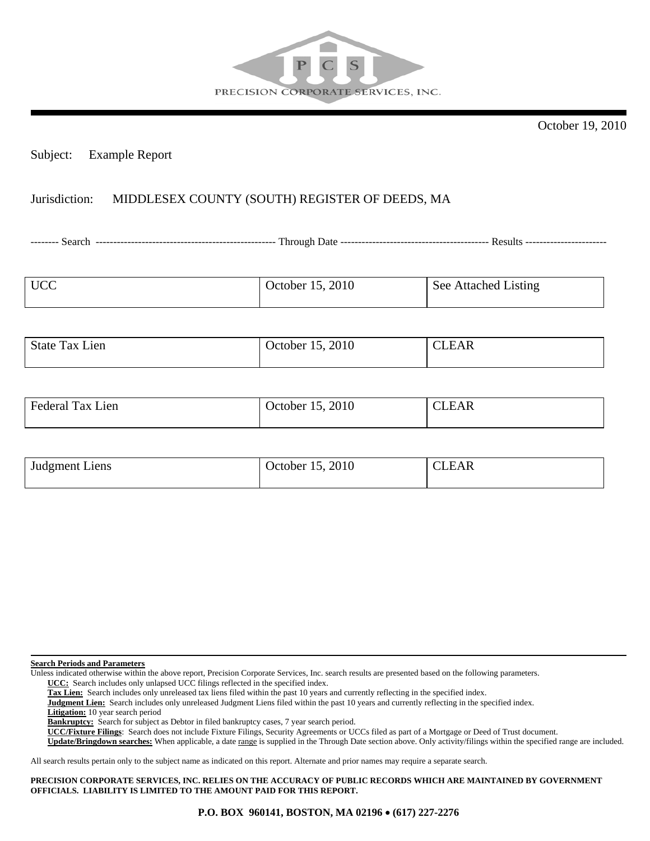

October 19, 2010

## Subject: Example Report

## Jurisdiction: MIDDLESEX COUNTY (SOUTH) REGISTER OF DEEDS, MA

-------- Search --------------------------------------------------- Through Date ------------------------------------------ Results -----------------------

| <b>UCC</b> | October 15, 2010 | See Attached Listing |
|------------|------------------|----------------------|
|            |                  |                      |

| <b>State Tax Lien</b> | 15, 2010<br>October 15, | <b>CLEAR</b> |
|-----------------------|-------------------------|--------------|
|                       |                         |              |

| $ \cdot$<br>-1en<br>l ax<br>Federal | 1, 2, 2010<br>October | $\sim$<br><b>DI</b><br>LAR -<br>- |
|-------------------------------------|-----------------------|-----------------------------------|
|                                     |                       |                                   |

| Judgment Liens | October 15, 2010 | CLEAR |
|----------------|------------------|-------|
|                |                  |       |

**Search Periods and Parameters**

Unless indicated otherwise within the above report, Precision Corporate Services, Inc. search results are presented based on the following parameters.

 **UCC:** Search includes only unlapsed UCC filings reflected in the specified index.

 **Tax Lien:** Search includes only unreleased tax liens filed within the past 10 years and currently reflecting in the specified index.

 **Judgment Lien:** Search includes only unreleased Judgment Liens filed within the past 10 years and currently reflecting in the specified index.

 **Litigation:** 10 year search period

 **Bankruptcy:** Search for subject as Debtor in filed bankruptcy cases, 7 year search period.

 **UCC/Fixture Filings**: Search does not include Fixture Filings, Security Agreements or UCCs filed as part of a Mortgage or Deed of Trust document.

 **Update/Bringdown searches:** When applicable, a date range is supplied in the Through Date section above. Only activity/filings within the specified range are included.

All search results pertain only to the subject name as indicated on this report. Alternate and prior names may require a separate search.

**PRECISION CORPORATE SERVICES, INC. RELIES ON THE ACCURACY OF PUBLIC RECORDS WHICH ARE MAINTAINED BY GOVERNMENT OFFICIALS. LIABILITY IS LIMITED TO THE AMOUNT PAID FOR THIS REPORT.**